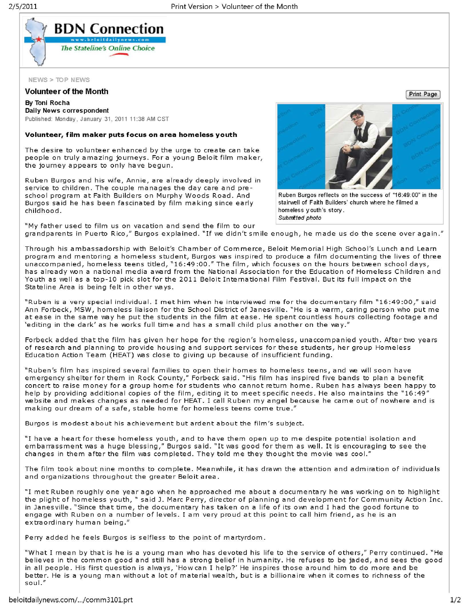

NEWS > TOP NEWS

## Volunteer of the Month

By Toni Rocha Daily News correspondent Published: Monday, January 31, 2011 11:38 AM CST

## Volunteer, film maker puts focus on area homeless youth

The desire to volunteer enhanced by the urge to create can take people on truly a mazing journeys. For a young Beloit film maker, the journey appears to only have begun.

Ruben Burgos and his wife, Annie, are already deeply involved in service to children. The couple manages the day care and preschool program at Faith Builders on Murphy Woods Road. And Burgos said he has been fascinated by film making since early childhood.



Ruben Burgos reflects on the success of "16:49:00" in the stairwell of Faith Builders' church where he filmed a homeless youth's story. Submitted photo

"My father used to film us on vacation and send the film to our grandparents in Puerto Rico," Burgos explained. "If we didn't smile enough, he made us do the scene over again."

Through his ambassadorship with Beloit's Chamber of Commerce, Beloit Memorial High School 's Lunch and Learn program and mentoring a homeless student, Burgos was inspired to produce a film documenting the lives of three unaccompanied, homeless teens titled, "16:49:00." The film, which focuses on the hours between school days, has already won a national media award from the National Association for the Education of Homeless Children and Youth as well as a top-10 pick slot for the 2011 Beloit International Film Festival. But its full impact on the Stateline Area is being felt in other ways.

"Ruben is a very special individual. I met him when he interviewed me for the documentary film "16:49:00," said Ann Forbeck, MSW, homeless liaison for the School District of Janesville. "He is a warm, caring person who put me at ease in the same way he put the students in the film at ease. He spent countless hours collecting footage and 'editing in the dark' as he works full time and has a small child plus another on the way."

Forbeck added that the film has given her hope for the region's homeless, unaccompanied youth. After two years of research and planning to provide housing and support services for these students, her group Homeless Education Action Team (HEAT) was close to giving up because of insufficient funding.

"Ruben's film has inspired several families to open their homes to homeless teens, and we will soon have emergency shelter for them in Rock County," Forbeck said. " His film has inspired five bands to pian a benefit concert to raise money for a group home for students who cannot return home. Ruben has always been happy to help by providing additional copies of the film, editing it to meet specific needs. He also maintains the "16:49" website and makes changes as needed for HEAT. I call Ruben my angel because he came out of nowhere and is making our dream of a safe, stable home for homeless teens come true."

Burgos is modest about his achievement but ardent about the film 's subject.

"I have a heart for these homeless youth, and to have them open up to me despite potential isolation and embarrassment was a huge blessing," Burgos said. "It was good for them as well. It is encouraging to see the changes in them after the film was completed. They told me they thought the movie was cool."

The film took about nine months to complete. Meanwhile, it has drawn the attention and admiration of individuals and organizations throughout the greater Beloit area.

"I met Ruben roughly one year ago when he approached me about a documentary he was working on to highlight the plight of homeless youth," said J. Marc Perry, director of planning and development for Community Action Inc. in Janesville. "Since that time, the documentary has taken on a life of its own and I had the good fortune to engage with Ruben on a number of levels. I am very proud at this point to call him friend, as he is an extra ordinary human being."

Perry added he feels Burgos is selfless to the point of martyrdom.

"What I mean by that is he is a young man who has devoted his life to the service of others," Perry continued. "He believes in the common good and still has a strong belief in humanity. He refuses to be jaded , and sees the good in all people. His first question is always, 'How can I help?' He inspires those around him to do more and be better. He is a young man without a lot of material wealth, but is a billionaire when it comes to richness of the soul."

Print Page